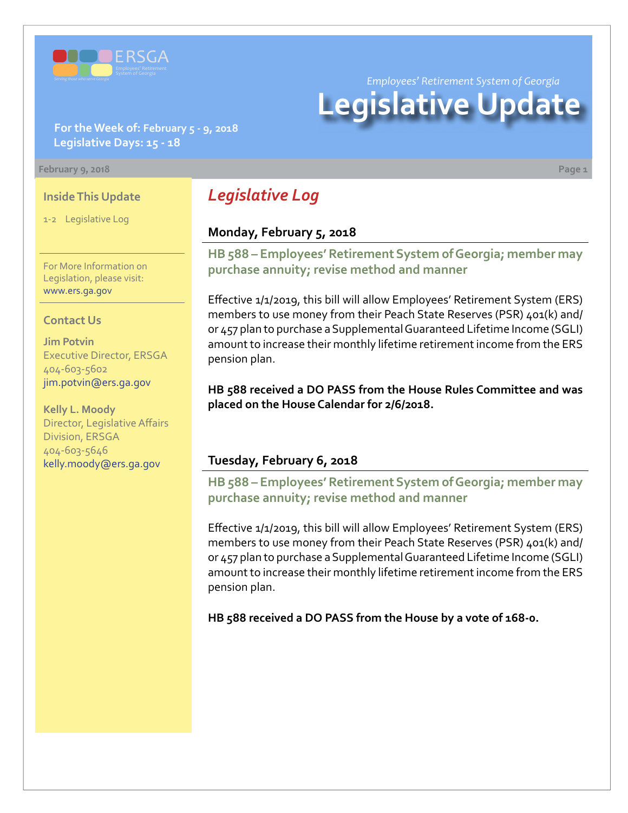

*Employees' Retirement System of Georgia*

# **Legislative Update**

#### **For the Week of: February 5 - 9, 2018 Legislative Days: 15 - 18**

#### **February 9, 2018 Page 1**

#### **Inside This Update**

1-2 Legislative Log

For More Information on Legislation, please visit: [www.ers.ga.gov](http://www.ers.ga.gov/)

#### **Contact Us**

**Jim Potvin** Executive Director, ERSGA 404-603-5602 jim.potvin@ers.ga.gov

**Kelly L. Moody** Director, Legislative Affairs Division, ERSGA 404-603-5646 kelly.moody@ers.ga.gov

# *Legislative Log*

#### **Monday, February 5, 2018**

**HB [588 – E](http://www.legis.ga.gov/legislation/en-US/Display/20172018/HB/588)mployees' Retirement System of Georgia; member may purchase annuity; revise method and manner**

Effective 1/1/2019, this bill will allow Employees' Retirement System (ERS) members to use money from their Peach State Reserves (PSR) 401(k) and/ or 457 plan to purchase a Supplemental Guaranteed Lifetime Income (SGLI) amount to increase their monthly lifetime retirement income from the ERS pension plan.

**HB 588 received a DO PASS from the House Rules Committee and was placed on the House Calendar for 2/6/2018.**

#### **Tuesday, February 6, 2018**

**HB [588 – E](http://www.legis.ga.gov/legislation/en-US/Display/20172018/HB/588)mployees' Retirement System of Georgia; member may purchase annuity; revise method and manner**

Effective 1/1/2019, this bill will allow Employees' Retirement System (ERS) members to use money from their Peach State Reserves (PSR) 401(k) and/ or 457 plan to purchase a Supplemental Guaranteed Lifetime Income (SGLI) amount to increase their monthly lifetime retirement income from the ERS pension plan.

**HB 588 received a DO PASS from the House by a vote of 168-0.**